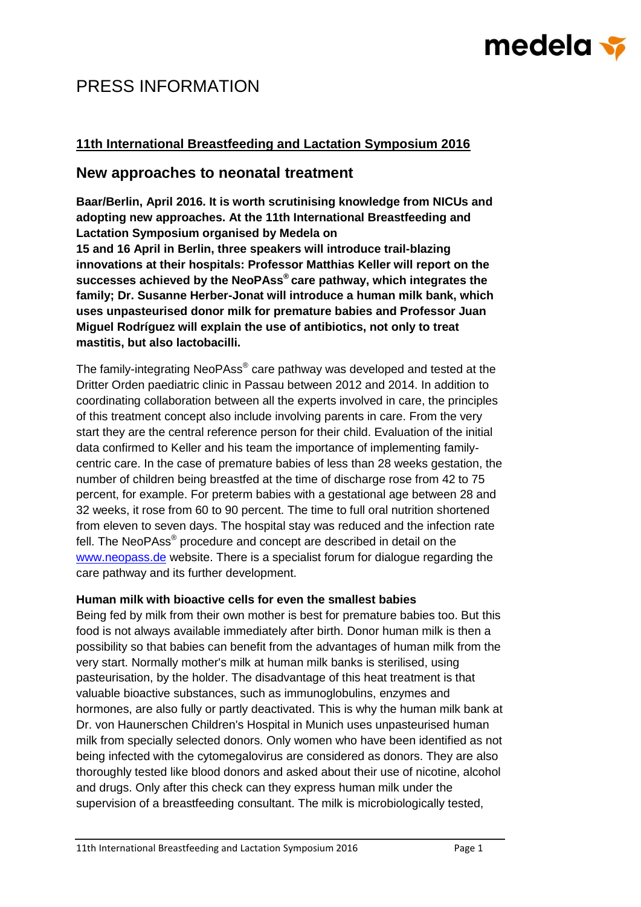# medela <del>v</del>

### PRESS INFORMATION

#### **11th International Breastfeeding and Lactation Symposium 2016**

### **New approaches to neonatal treatment**

**Baar/Berlin, April 2016. It is worth scrutinising knowledge from NICUs and adopting new approaches. At the 11th International Breastfeeding and Lactation Symposium organised by Medela on** 

**15 and 16 April in Berlin, three speakers will introduce trail-blazing innovations at their hospitals: Professor Matthias Keller will report on the successes achieved by the NeoPAss® care pathway, which integrates the family; Dr. Susanne Herber-Jonat will introduce a human milk bank, which uses unpasteurised donor milk for premature babies and Professor Juan Miguel Rodríguez will explain the use of antibiotics, not only to treat mastitis, but also lactobacilli.**

The family-integrating NeoPAss® care pathway was developed and tested at the Dritter Orden paediatric clinic in Passau between 2012 and 2014. In addition to coordinating collaboration between all the experts involved in care, the principles of this treatment concept also include involving parents in care. From the very start they are the central reference person for their child. Evaluation of the initial data confirmed to Keller and his team the importance of implementing familycentric care. In the case of premature babies of less than 28 weeks gestation, the number of children being breastfed at the time of discharge rose from 42 to 75 percent, for example. For preterm babies with a gestational age between 28 and 32 weeks, it rose from 60 to 90 percent. The time to full oral nutrition shortened from eleven to seven days. The hospital stay was reduced and the infection rate fell. The NeoPAss® procedure and concept are described in detail on the [www.neopass.de](http://www.neopass.de/) website. There is a specialist forum for dialogue regarding the care pathway and its further development.

#### **Human milk with bioactive cells for even the smallest babies**

Being fed by milk from their own mother is best for premature babies too. But this food is not always available immediately after birth. Donor human milk is then a possibility so that babies can benefit from the advantages of human milk from the very start. Normally mother's milk at human milk banks is sterilised, using pasteurisation, by the holder. The disadvantage of this heat treatment is that valuable bioactive substances, such as immunoglobulins, enzymes and hormones, are also fully or partly deactivated. This is why the human milk bank at Dr. von Haunerschen Children's Hospital in Munich uses unpasteurised human milk from specially selected donors. Only women who have been identified as not being infected with the cytomegalovirus are considered as donors. They are also thoroughly tested like blood donors and asked about their use of nicotine, alcohol and drugs. Only after this check can they express human milk under the supervision of a breastfeeding consultant. The milk is microbiologically tested,